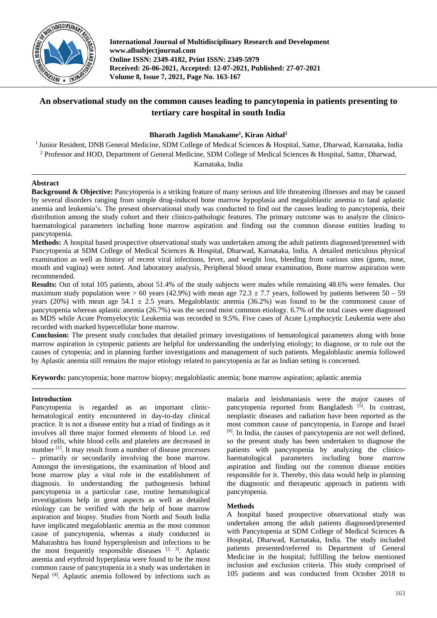

**International Journal of Multidisciplinary Research and Development www.allsubjectjournal.com Online ISSN: 2349-4182, Print ISSN: 2349-5979 Received: 26-06-2021, Accepted: 12-07-2021, Published: 27-07-2021 Volume 8, Issue 7, 2021, Page No. 163-167**

# **An observational study on the common causes leading to pancytopenia in patients presenting to tertiary care hospital in south India**

# **Bharath Jagdish Manakame1 , Kiran Aithal2**

<sup>1</sup> Junior Resident, DNB General Medicine, SDM College of Medical Sciences & Hospital, Sattur, Dharwad, Karnataka, India <sup>2</sup> Professor and HOD, Department of General Medicine, SDM College of Medical Sciences & Hospital, Sattur, Dharwad,

Karnataka, India

## **Abstract**

**Background & Objective:** Pancytopenia is a striking feature of many serious and life threatening illnesses and may be caused by several disorders ranging from simple drug-induced bone marrow hypoplasia and megaloblastic anemia to fatal aplastic anemia and leukemia's. The present observational study was conducted to find out the causes leading to pancytopenia, their distribution among the study cohort and their clinico-pathologic features. The primary outcome was to analyze the clinicohaematological parameters including bone marrow aspiration and finding out the common disease entities leading to pancytopenia.

**Methods:** A hospital based prospective observational study was undertaken among the adult patients diagnosed/presented with Pancytopenia at SDM College of Medical Sciences & Hospital, Dharwad, Karnataka, India. A detailed meticulous physical examination as well as history of recent viral infections, fever, and weight loss, bleeding from various sites (gums, nose, mouth and vagina) were noted. And laboratory analysis, Peripheral blood smear examination, Bone marrow aspiration were recommended.

Results: Out of total 105 patients, about 51.4% of the study subjects were males while remaining 48.6% were females. Our maximum study population were > 60 years (42.9%) with mean age  $72.3 \pm 7.7$  years, followed by patients between  $50 - 59$ years (20%) with mean age 54.1  $\pm$  2.5 years. Megaloblastic anemia (36.2%) was found to be the commonest cause of pancytopenia whereas aplastic anemia (26.7%) was the second most common etiology. 6.7% of the total cases were diagnosed as MDS while Acute Promyelocytic Leukemia was recorded in 9.5%. Five cases of Acute Lymphocytic Leukemia were also recorded with marked hypercellular bone marrow.

**Conclusion:** The present study concludes that detailed primary investigations of hematological parameters along with bone marrow aspiration in cytopenic patients are helpful for understanding the underlying etiology; to diagnose, or to rule out the causes of cytopenia; and in planning further investigations and management of such patients. Megaloblastic anemia followed by Aplastic anemia still remains the major etiology related to pancytopenia as far as Indian setting is concerned.

**Keywords:** pancytopenia; bone marrow biopsy; megaloblastic anemia; bone marrow aspiration; aplastic anemia

### **Introduction**

Pancytopenia is regarded as an important clinichematological entity encountered in day-to-day clinical practice. It is not a disease entity but a triad of findings as it involves all three major formed elements of blood i.e. red blood cells, white blood cells and platelets are decreased in number <sup>[1]</sup>. It may result from a number of disease processes – primarily or secondarily involving the bone marrow. Amongst the investigations, the examination of blood and bone marrow play a vital role in the establishment of diagnosis. In understanding the pathogenesis behind pancytopenia in a particular case, routine hematological investigations help in great aspects as well as detailed etiology can be verified with the help of bone marrow aspiration and biopsy. Studies from North and South India have implicated megaloblastic anemia as the most common cause of pancytopenia, whereas a study conducted in Maharashtra has found hypersplenism and infections to be the most frequently responsible diseases  $[2, 3]$ . Aplastic anemia and erythroid hyperplasia were found to be the most common cause of pancytopenia in a study was undertaken in Nepal <sup>[4]</sup>. Aplastic anemia followed by infections such as

malaria and leishmaniasis were the major causes of pancytopenia reported from Bangladesh  $^{[5]}$ . In contrast, neoplastic diseases and radiation have been reported as the most common cause of pancytopenia, in Europe and Israel [6] . In India, the causes of pancytopenia are not well defined, so the present study has been undertaken to diagnose the patients with pancytopenia by analyzing the clinicohaematological parameters including bone marrow aspiration and finding out the common disease entities responsible for it. Thereby, this data would help in planning the diagnostic and therapeutic approach in patients with pancytopenia.

#### **Methods**

A hospital based prospective observational study was undertaken among the adult patients diagnosed/presented with Pancytopenia at SDM College of Medical Sciences & Hospital, Dharwad, Karnataka, India. The study included patients presented/referred to Department of General Medicine in the hospital; fulfilling the below mentioned inclusion and exclusion criteria. This study comprised of 105 patients and was conducted from October 2018 to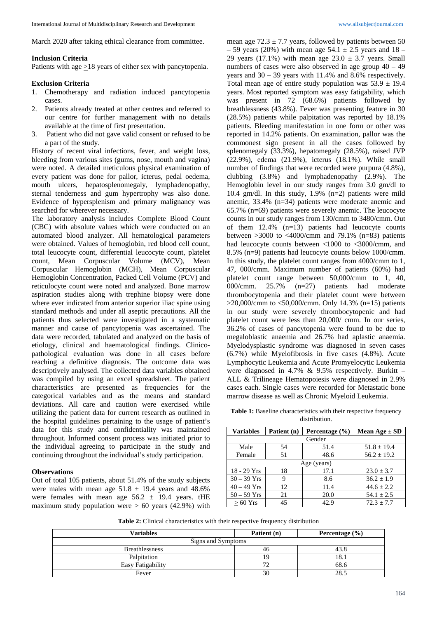March 2020 after taking ethical clearance from committee.

#### **Inclusion Criteria**

Patients with age  $\geq$ 18 years of either sex with pancytopenia.

#### **Exclusion Criteria**

- 1. Chemotherapy and radiation induced pancytopenia cases.
- 2. Patients already treated at other centres and referred to our centre for further management with no details available at the time of first presentation.
- 3. Patient who did not gave valid consent or refused to be a part of the study.

History of recent viral infections, fever, and weight loss, bleeding from various sites (gums, nose, mouth and vagina) were noted. A detailed meticulous physical examination of every patient was done for pallor, icterus, pedal oedema, mouth ulcers, hepatosplenomegaly, lymphadenopathy, sternal tenderness and gum hypertrophy was also done. Evidence of hypersplenism and primary malignancy was searched for wherever necessary.

The laboratory analysis includes Complete Blood Count (CBC) with absolute values which were conducted on an automated blood analyzer. All hematological parameters were obtained. Values of hemoglobin, red blood cell count, total leucocyte count, differential leucocyte count, platelet count, Mean Corpuscular Volume (MCV), Mean Corpuscular Hemoglobin (MCH), Mean Corpuscular Hemoglobin Concentration, Packed Cell Volume (PCV) and reticulocyte count were noted and analyzed. Bone marrow aspiration studies along with trephine biopsy were done where ever indicated from anterior superior iliac spine using standard methods and under all aseptic precautions. All the patients thus selected were investigated in a systematic manner and cause of pancytopenia was ascertained. The data were recorded, tabulated and analyzed on the basis of etiology, clinical and haematological findings. Clinicopathological evaluation was done in all cases before reaching a definitive diagnosis. The outcome data was descriptively analysed. The collected data variables obtained was compiled by using an excel spreadsheet. The patient characteristics are presented as frequencies for the categorical variables and as the means and standard deviations. All care and caution were exercised while utilizing the patient data for current research as outlined in the hospital guidelines pertaining to the usage of patient's data for this study and confidentiality was maintained throughout. Informed consent process was initiated prior to the individual agreeing to participate in the study and continuing throughout the individual's study participation.

#### **Observations**

Out of total 105 patients, about 51.4% of the study subjects were males with mean age  $51.8 \pm 19.4$  years and 48.6% were females with mean age  $56.2 \pm 19.4$  years. tHE maximum study population were  $> 60$  years (42.9%) with

mean age  $72.3 \pm 7.7$  years, followed by patients between 50  $-59$  years (20%) with mean age  $54.1 \pm 2.5$  years and  $18 -$ 29 years (17.1%) with mean age  $23.0 \pm 3.7$  years. Small numbers of cases were also observed in age group 40 – 49 years and 30 – 39 years with 11.4% and 8.6% respectively. Total mean age of entire study population was  $53.9 \pm 19.4$ years. Most reported symptom was easy fatigability, which was present in 72 (68.6%) patients followed by breathlessness (43.8%). Fever was presenting feature in 30 (28.5%) patients while palpitation was reported by 18.1% patients. Bleeding manifestation in one form or other was reported in 14.2% patients. On examination, pallor was the commonest sign present in all the cases followed by splenomegaly (33.3%), hepatomegaly (28.5%), raised JVP (22.9%), edema (21.9%), icterus (18.1%). While small number of findings that were recorded were purpura (4.8%), clubbing  $(3.8\%)$  and lymphadenopathy  $(2.9\%)$ . The Hemoglobin level in our study ranges from 3.0 gm/dl to 10.4 gm/dl. In this study, 1.9% (n=2) patients were mild anemic, 33.4% (n=34) patients were moderate anemic and 65.7% (n=69) patients were severely anemic. The leucocyte counts in our study ranges from 130/cmm to 3480/cmm. Out of them 12.4% (n=13) patients had leucocyte counts between  $>3000$  to  $<4000/cmm$  and 79.1% (n=83) patients had leucocyte counts between <1000 to <3000/cmm, and 8.5% (n=9) patients had leucocyte counts below 1000/cmm. In this study, the platelet count ranges from 4000/cmm to 1, 47, 000/cmm. Maximum number of patients (60%) had platelet count range between 50,000/cmm to 1, 40, 000/cmm. 25.7% (n=27) patients had moderate thrombocytopenia and their platelet count were between  $>20,000$ /cmm to  $< 50,000$ /cmm. Only 14.3% (n=15) patients in our study were severely thrombocytopenic and had platelet count were less than 20,000/ cmm. In our series, 36.2% of cases of pancytopenia were found to be due to megaloblastic anaemia and 26.7% had aplastic anaemia. Myelodysplastic syndrome was diagnosed in seven cases (6.7%) while Myelofibrosis in five cases (4.8%). Acute Lymphocytic Leukemia and Acute Promyelocytic Leukemia were diagnosed in 4.7%  $& 9.5\%$  respectively. Burkitt – ALL & Trilineage Hematopoiesis were diagnosed in 2.9% cases each. Single cases were recorded for Metastatic bone marrow disease as well as Chronic Myeloid Leukemia.

**Table 1:** Baseline characteristics with their respective frequency distribution.

| <b>Variables</b> | Patient (n) | Percentage $(\% )$ | Mean Age $\pm$ SD |  |
|------------------|-------------|--------------------|-------------------|--|
| Gender           |             |                    |                   |  |
| Male             | 54          | 51.4               | $51.8 \pm 19.4$   |  |
| Female           | 51          | 48.6               | $56.2 \pm 19.2$   |  |
| Age (years)      |             |                    |                   |  |
| 18 - 29 Yrs      | 18          | 17.1               | $23.0 \pm 3.7$    |  |
| $30 - 39$ Yrs    | 9           | 8.6                | $36.2 + 1.9$      |  |
| $40 - 49$ Yrs    | 12          | 11.4               | $44.6 + 2.2$      |  |
| $50 - 59$ Yrs    | 21          | 20.0               | $54.1 + 2.5$      |  |
| $>60$ Yrs        | 45          | 42.9               | $72.3 \pm 7.7$    |  |

**Table 2:** Clinical characteristics with their respective frequency distribution

| <b>Variables</b>      | Patient (n) | Percentage $(\% )$ |  |  |
|-----------------------|-------------|--------------------|--|--|
| Signs and Symptoms    |             |                    |  |  |
| <b>Breathlessness</b> | 46          | 43.8               |  |  |
| Palpitation           | 19          | 18.1               |  |  |
| Easy Fatigability     |             | 68.6               |  |  |
| Fever                 | 30          | 28.5               |  |  |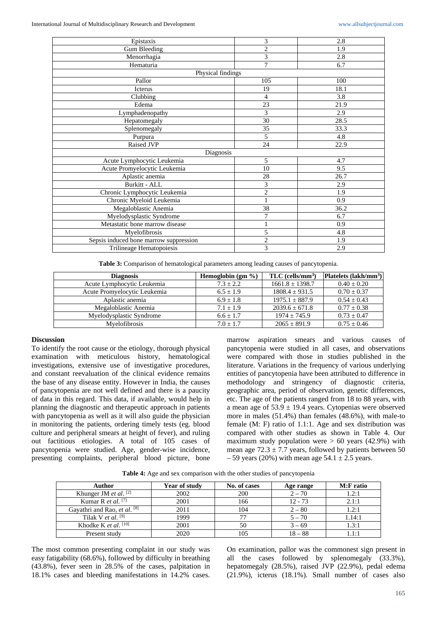| Epistaxis                              | 3              | 2.8  |
|----------------------------------------|----------------|------|
| Gum Bleeding                           | $\overline{c}$ | 1.9  |
| Menorrhagia                            | 3              | 2.8  |
| Hematuria                              | 7              | 6.7  |
| Physical findings                      |                |      |
| Pallor                                 | 105            | 100  |
| Icterus                                | 19             | 18.1 |
| Clubbing                               | 4              | 3.8  |
| Edema                                  | 23             | 21.9 |
| Lymphadenopathy                        | 3              | 2.9  |
| Hepatomegaly                           | 30             | 28.5 |
| Splenomegaly                           | 35             | 33.3 |
| Purpura                                | 5              | 4.8  |
| Raised JVP                             | 24             | 22.9 |
| Diagnosis                              |                |      |
| Acute Lymphocytic Leukemia             | 5              | 4.7  |
| Acute Promyelocytic Leukemia           | 10             | 9.5  |
| Aplastic anemia                        | 28             | 26.7 |
| Burkitt - ALL                          | 3              | 2.9  |
| Chronic Lymphocytic Leukemia           | $\overline{c}$ | 1.9  |
| Chronic Myeloid Leukemia               | 1              | 0.9  |
| Megaloblastic Anemia                   | 38             | 36.2 |
| Myelodysplastic Syndrome               | 7              | 6.7  |
| Metastatic bone marrow disease         | $\mathbf{1}$   | 0.9  |
| Myelofibrosis                          | 5              | 4.8  |
| Sepsis induced bone marrow suppression | $\overline{2}$ | 1.9  |
| Trilineage Hematopoiesis               | 3              | 2.9  |

**Table 3:** Comparison of hematological parameters among leading causes of pancytopenia.

| <b>Diagnosis</b>             | Hemoglobin $(gm \% )$ | $TLC$ (cells/mm <sup>3</sup> ) | Platelets $(lakh/mm^3)$ |
|------------------------------|-----------------------|--------------------------------|-------------------------|
| Acute Lymphocytic Leukemia   | $7.3 + 2.2$           | $1661.8 \pm 1398.7$            | $0.40 \pm 0.20$         |
| Acute Promyelocytic Leukemia | $6.5 \pm 1.9$         | $1808.4 + 931.5$               | $0.70 \pm 0.37$         |
| Aplastic anemia              | $6.9 + 1.8$           | $1975.1 \pm 887.9$             | $0.54 \pm 0.43$         |
| Megaloblastic Anemia         | $7.1 + 1.9$           | $2039.6 \pm 671.8$             | $0.77 \pm 0.38$         |
| Myelodysplastic Syndrome     | $6.6 \pm 1.7$         | $1974 + 745.9$                 | $0.73 \pm 0.47$         |
| Mvelofibrosis                | $7.0 + 1.7$           | $2065 + 891.9$                 | $0.75 \pm 0.46$         |

#### **Discussion**

To identify the root cause or the etiology, thorough physical examination with meticulous history, hematological investigations, extensive use of investigative procedures, and constant reevaluation of the clinical evidence remains the base of any disease entity. However in India, the causes of pancytopenia are not well defined and there is a paucity of data in this regard. This data, if available, would help in planning the diagnostic and therapeutic approach in patients with pancytopenia as well as it will also guide the physician in monitoring the patients, ordering timely tests (eg. blood culture and peripheral smears at height of fever), and ruling out factitious etiologies. A total of 105 cases of pancytopenia were studied. Age, gender-wise incidence, presenting complaints, peripheral blood picture, bone

marrow aspiration smears and various causes of pancytopenia were studied in all cases, and observations were compared with those in studies published in the literature. Variations in the frequency of various underlying entities of pancytopenia have been attributed to difference in methodology and stringency of diagnostic criteria, geographic area, period of observation, genetic differences, etc. The age of the patients ranged from 18 to 88 years, with a mean age of  $53.9 \pm 19.4$  years. Cytopenias were observed more in males (51.4%) than females (48.6%), with male-to female (M: F) ratio of 1.1:1. Age and sex distribution was compared with other studies as shown in Table 4. Our maximum study population were  $> 60$  years (42.9%) with mean age  $72.3 \pm 7.7$  years, followed by patients between 50  $-59$  years (20%) with mean age  $54.1 \pm 2.5$  years.

**Table 4:** Age and sex comparison with the other studies of pancytopenia

| Author                        | Year of study | No. of cases | Age range | M:F ratio |
|-------------------------------|---------------|--------------|-----------|-----------|
| Khunger JM et al. $[2]$       | 2002          | 200          | $2 - 70$  | 1.2:1     |
| Kumar R <i>et al.</i> [7]     | 2001          | 166          | $12 - 73$ | 2.1:1     |
| Gayathri and Rao, et al. [8]  | 2011          | 104          | $2 - 80$  | 1.2:1     |
| Tilak V et al. $[9]$          | 1999          |              | $5 - 70$  | 1.14:1    |
| Khodke K <i>et al.</i> $[10]$ | 2001          | 50           | $3 - 69$  | 1.3:1     |
| Present study                 | 2020          |              | $18 - 88$ | 1.1:1     |

The most common presenting complaint in our study was easy fatigability (68.6%), followed by difficulty in breathing (43.8%), fever seen in 28.5% of the cases, palpitation in 18.1% cases and bleeding manifestations in 14.2% cases.

On examination, pallor was the commonest sign present in all the cases followed by splenomegaly (33.3%), hepatomegaly (28.5%), raised JVP (22.9%), pedal edema (21.9%), icterus (18.1%). Small number of cases also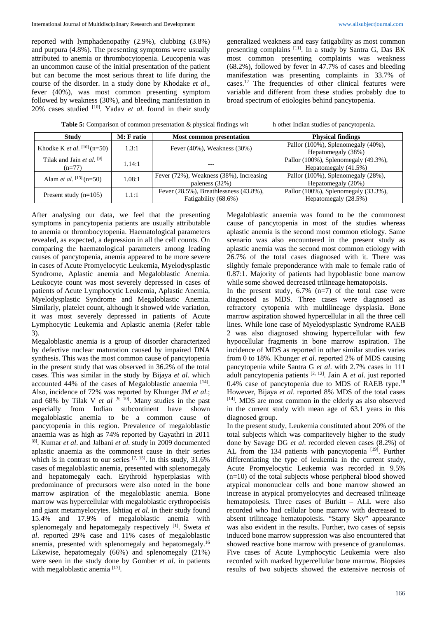reported with lymphadenopathy (2.9%), clubbing (3.8%) and purpura (4.8%). The presenting symptoms were usually attributed to anemia or thrombocytopenia. Leucopenia was an uncommon cause of the initial presentation of the patient but can become the most serious threat to life during the course of the disorder. In a study done by Khodake *et al*., fever (40%), was most common presenting symptom followed by weakness (30%), and bleeding manifestation in 20% cases studied [10] . Yadav *et al*. found in their study

generalized weakness and easy fatigability as most common presenting complains [11]. In a study by Santra G, Das BK most common presenting complaints was weakness (68.2%), followed by fever in 47.7% of cases and bleeding manifestation was presenting complaints in 33.7% of cases.12 The frequencies of other clinical features were variable and different from these studies probably due to broad spectrum of etiologies behind pancytopenia.

**Table 5:** Comparison of common presentation & physical findings wit h other Indian studies of pancytopenia.

| <b>Study</b>                              | M: F ratio | <b>Most common presentation</b>                | <b>Physical findings</b>                     |
|-------------------------------------------|------------|------------------------------------------------|----------------------------------------------|
| Khodke K <i>et al.</i> $[10]$ (n=50)      | 1.3:1      | Fever $(40\%)$ , Weakness $(30\%)$             | Pallor (100%), Splenomegaly (40%),           |
|                                           |            |                                                | Hepatomegaly (38%)                           |
| Tilak and Jain <i>et al.</i> $[9]$        | 1.14:1     |                                                | Pallor $(100\%)$ , Splenomegaly $(49.3\%)$ , |
| $(n=77)$                                  |            |                                                | Hepatomegaly (41.5%)                         |
| Alam <i>et al.</i> <sup>[13]</sup> (n=50) | 1.08:1     | Fever (72%), Weakness (38%), Increasing        | Pallor (100%), Splenomegaly (28%),           |
|                                           |            | paleness (32%)                                 | Hepatomegaly (20%)                           |
| Present study $(n=105)$                   | 1.1:1      | Fever $(28.5\%)$ , Breathlessness $(43.8\%)$ , | Pallor $(100\%)$ , Splenomegaly $(33.3\%)$ , |
|                                           |            | Fatigability (68.6%)                           | Hepatomegaly (28.5%)                         |

After analysing our data, we feel that the presenting symptoms in pancytopenia patients are usually attributable to anemia or thrombocytopenia. Haematological parameters revealed, as expected, a depression in all the cell counts. On comparing the haematological parameters among leading causes of pancytopenia, anemia appeared to be more severe in cases of Acute Promyelocytic Leukemia, Myelodysplastic Syndrome, Aplastic anemia and Megaloblastic Anemia. Leukocyte count was most severely depressed in cases of patients of Acute Lymphocytic Leukemia, Aplastic Anemia, Myelodysplastic Syndrome and Megaloblastic Anemia. Similarly, platelet count, although it showed wide variation, it was most severely depressed in patients of Acute Lymphocytic Leukemia and Aplastic anemia (Refer table 3).

Megaloblastic anemia is a group of disorder characterized by defective nuclear maturation caused by impaired DNA synthesis. This was the most common cause of pancytopenia in the present study that was observed in 36.2% of the total cases. This was similar in the study by Bijaya *et al*. which accounted 44% of the cases of Megaloblastic anaemia [14]. Also, incidence of 72% was reported by Khunger JM *et al*.; and  $68\%$  by Tilak V *et al*  $[9, 10]$ . Many studies in the past especially from Indian subcontinent have shown megaloblastic anemia to be a common cause of pancytopenia in this region. Prevalence of megaloblastic anaemia was as high as 74% reported by Gayathri in 2011 [8] . Kumar *et al*. and Jalbani *et al*. study in 2009 documented aplastic anaemia as the commonest cause in their series which is in contrast to our series  $[7, 15]$ . In this study, 31.6% cases of megaloblastic anemia, presented with splenomegaly and hepatomegaly each. Erythroid hyperplasias with predominance of precursors were also noted in the bone marrow aspiration of the megaloblastic anemia. Bone marrow was hypercellular with megaloblastic erythropoeisis and giant metamyelocytes. Ishtiaq *et al*. in their study found 15.4% and 17.9% of megaloblastic anemia with splenomegaly and hepatomegaly respectively [1] . Sweta *et al*. reported 29% case and 11% cases of megaloblastic anemia, presented with splenomegaly and hepatomegaly.16 Likewise, hepatomegaly (66%) and splenomegaly (21%) were seen in the study done by Gomber *et al*. in patients with megaloblastic anemia<sup>[17]</sup>.

Megaloblastic anaemia was found to be the commonest cause of pancytopenia in most of the studies whereas aplastic anemia is the second most common etiology. Same scenario was also encountered in the present study as aplastic anemia was the second most common etiology with 26.7% of the total cases diagnosed with it. There was slightly female preponderance with male to female ratio of 0.87:1. Majority of patients had hypoblastic bone marrow while some showed decreased trilineage hematopoisis.

In the present study,  $6.7\%$  (n=7) of the total case were diagnosed as MDS. Three cases were diagnosed as refractory cytopenia with multilineage dysplasia. Bone marrow aspiration showed hypercellular in all the three cell lines. While lone case of Myelodysplastic Syndrome RAEB 2 was also diagnosed showing hypercellular with few hypocellular fragments in bone marrow aspiration. The incidence of MDS as reported in other similar studies varies from 0 to 18%. Khunger *et al*. reported 2% of MDS causing pancytopenia while Santra G *et al*. with 2.7% cases in 111 adult pancytopenia patients [2, 12] . Jain A *et al*. just reported 0.4% case of pancytopenia due to MDS of RAEB type.18 However, Bijaya *et al*. reported 8% MDS of the total cases [14]. MDS are most common in the elderly as also observed in the current study with mean age of 63.1 years in this diagnosed group.

In the present study, Leukemia constituted about 20% of the total subjects which was comparitevely higher to the study done by Savage DG *et al*. recorded eleven cases (8.2%) of AL from the 134 patients with pancytopenia<sup>[19]</sup>. Further differentiating the type of leukemia in the current study, Acute Promyelocytic Leukemia was recorded in 9.5% (n=10) of the total subjects whose peripheral blood showed atypical mononuclear cells and bone marrow showed an increase in atypical promyelocytes and decreased trilineage hematopoiesis. Three cases of Burkitt – ALL were also recorded who had cellular bone marrow with decreased to absent trilineage hematopoiesis. "Starry Sky" appearance was also evident in the results. Further, two cases of sepsis induced bone marrow suppression was also encountered that showed reactive bone marrow with presence of granulomas. Five cases of Acute Lymphocytic Leukemia were also recorded with marked hypercellular bone marrow. Biopsies results of two subjects showed the extensive necrosis of